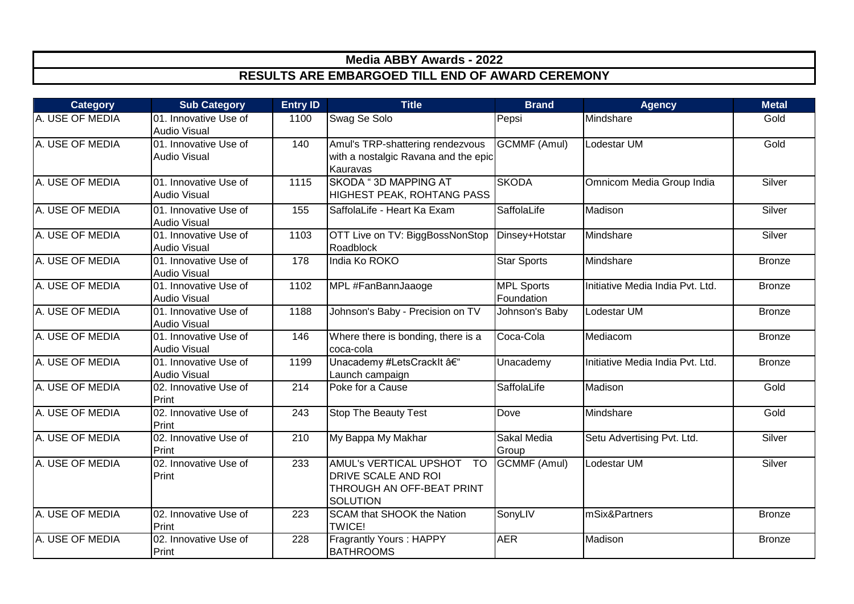| <b>Category</b> | <b>Sub Category</b>                          | <b>Entry ID</b>  | <b>Title</b>                                                                                               | <b>Brand</b>                    | <b>Agency</b>                    | <b>Metal</b>  |
|-----------------|----------------------------------------------|------------------|------------------------------------------------------------------------------------------------------------|---------------------------------|----------------------------------|---------------|
| A. USE OF MEDIA | 01. Innovative Use of<br><b>Audio Visual</b> | 1100             | Swag Se Solo                                                                                               | Pepsi                           | Mindshare                        | Gold          |
| A. USE OF MEDIA | 01. Innovative Use of<br><b>Audio Visual</b> | 140              | Amul's TRP-shattering rendezvous<br>with a nostalgic Ravana and the epic<br>Kauravas                       | <b>GCMMF (Amul)</b>             | Lodestar UM                      | Gold          |
| A. USE OF MEDIA | 01. Innovative Use of<br>Audio Visual        | 1115             | <b>SKODA "3D MAPPING AT</b><br><b>HIGHEST PEAK, ROHTANG PASS</b>                                           | <b>SKODA</b>                    | Omnicom Media Group India        | Silver        |
| A. USE OF MEDIA | 01. Innovative Use of<br><b>Audio Visual</b> | 155              | SaffolaLife - Heart Ka Exam                                                                                | SaffolaLife                     | Madison                          | Silver        |
| A. USE OF MEDIA | 01. Innovative Use of<br><b>Audio Visual</b> | 1103             | OTT Live on TV: BiggBossNonStop<br>Roadblock                                                               | Dinsey+Hotstar                  | Mindshare                        | Silver        |
| A. USE OF MEDIA | 01. Innovative Use of<br><b>Audio Visual</b> | 178              | India Ko ROKO                                                                                              | <b>Star Sports</b>              | Mindshare                        | <b>Bronze</b> |
| A. USE OF MEDIA | 01. Innovative Use of<br><b>Audio Visual</b> | 1102             | MPL #FanBannJaaoge                                                                                         | <b>MPL Sports</b><br>Foundation | Initiative Media India Pvt. Ltd. | <b>Bronze</b> |
| A. USE OF MEDIA | 01. Innovative Use of<br><b>Audio Visual</b> | 1188             | Johnson's Baby - Precision on TV                                                                           | Johnson's Baby                  | Lodestar UM                      | <b>Bronze</b> |
| A. USE OF MEDIA | 01. Innovative Use of<br><b>Audio Visual</b> | 146              | Where there is bonding, there is a<br>coca-cola                                                            | Coca-Cola                       | Mediacom                         | <b>Bronze</b> |
| A. USE OF MEDIA | 01. Innovative Use of<br><b>Audio Visual</b> | 1199             | Unacademy #LetsCrackIt –<br>Launch campaign                                                                | Unacademy                       | Initiative Media India Pvt. Ltd. | <b>Bronze</b> |
| A. USE OF MEDIA | 02. Innovative Use of<br>Print               | 214              | Poke for a Cause                                                                                           | SaffolaLife                     | Madison                          | Gold          |
| A. USE OF MEDIA | 02. Innovative Use of<br>Print               | $\overline{243}$ | <b>Stop The Beauty Test</b>                                                                                | <b>Dove</b>                     | Mindshare                        | Gold          |
| A. USE OF MEDIA | 02. Innovative Use of<br>Print               | 210              | My Bappa My Makhar                                                                                         | Sakal Media<br>Group            | Setu Advertising Pvt. Ltd.       | Silver        |
| A. USE OF MEDIA | 02. Innovative Use of<br>Print               | 233              | AMUL's VERTICAL UPSHOT<br><b>TO</b><br>DRIVE SCALE AND ROI<br>THROUGH AN OFF-BEAT PRINT<br><b>SOLUTION</b> | <b>GCMMF (Amul)</b>             | Lodestar UM                      | Silver        |
| A. USE OF MEDIA | 02. Innovative Use of<br>Print               | 223              | SCAM that SHOOK the Nation<br><b>TWICE!</b>                                                                | SonyLIV                         | mSix&Partners                    | <b>Bronze</b> |
| A. USE OF MEDIA | 02. Innovative Use of<br>Print               | 228              | <b>Fragrantly Yours: HAPPY</b><br><b>BATHROOMS</b>                                                         | <b>AER</b>                      | Madison                          | <b>Bronze</b> |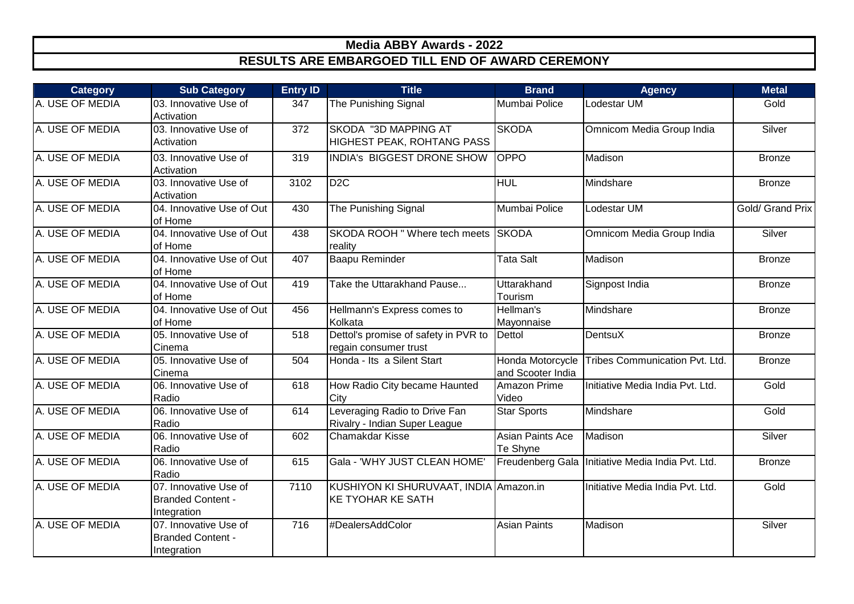| <b>Category</b> | <b>Sub Category</b>                                              | <b>Entry ID</b> | <b>Title</b>                                                       | <b>Brand</b>                          | <b>Agency</b>                                       | <b>Metal</b>     |
|-----------------|------------------------------------------------------------------|-----------------|--------------------------------------------------------------------|---------------------------------------|-----------------------------------------------------|------------------|
| A. USE OF MEDIA | 03. Innovative Use of<br>Activation                              | 347             | The Punishing Signal                                               | Mumbai Police                         | Lodestar UM                                         | Gold             |
| A. USE OF MEDIA | 03. Innovative Use of<br>Activation                              | 372             | SKODA "3D MAPPING AT<br>HIGHEST PEAK, ROHTANG PASS                 | <b>SKODA</b>                          | Omnicom Media Group India                           | Silver           |
| A. USE OF MEDIA | 03. Innovative Use of<br>Activation                              | 319             | INDIA's BIGGEST DRONE SHOW                                         | <b>OPPO</b>                           | Madison                                             | <b>Bronze</b>    |
| A. USE OF MEDIA | 03. Innovative Use of<br>Activation                              | 3102            | D <sub>2</sub> C                                                   | <b>HUL</b>                            | Mindshare                                           | <b>Bronze</b>    |
| A. USE OF MEDIA | 04. Innovative Use of Out<br>of Home                             | 430             | The Punishing Signal                                               | Mumbai Police                         | Lodestar UM                                         | Gold/ Grand Prix |
| A. USE OF MEDIA | 04. Innovative Use of Out<br>of Home                             | 438             | SKODA ROOH "Where tech meets SKODA<br>reality                      |                                       | Omnicom Media Group India                           | Silver           |
| A. USE OF MEDIA | 04. Innovative Use of Out<br>of Home                             | 407             | <b>Baapu Reminder</b>                                              | <b>Tata Salt</b>                      | Madison                                             | <b>Bronze</b>    |
| A. USE OF MEDIA | 04. Innovative Use of Out<br>of Home                             | 419             | Take the Uttarakhand Pause                                         | Uttarakhand<br>Tourism                | Signpost India                                      | <b>Bronze</b>    |
| A. USE OF MEDIA | 04. Innovative Use of Out<br>of Home                             | 456             | Hellmann's Express comes to<br>Kolkata                             | Hellman's<br>Mayonnaise               | Mindshare                                           | <b>Bronze</b>    |
| A. USE OF MEDIA | 05. Innovative Use of<br>Cinema                                  | 518             | Dettol's promise of safety in PVR to<br>regain consumer trust      | Dettol                                | <b>DentsuX</b>                                      | <b>Bronze</b>    |
| A. USE OF MEDIA | 05. Innovative Use of<br>Cinema                                  | 504             | Honda - Its a Silent Start                                         | Honda Motorcycle<br>and Scooter India | Tribes Communication Pvt. Ltd.                      | <b>Bronze</b>    |
| A. USE OF MEDIA | 06. Innovative Use of<br>Radio                                   | 618             | How Radio City became Haunted<br>City                              | Amazon Prime<br>Video                 | Initiative Media India Pvt. Ltd.                    | Gold             |
| A. USE OF MEDIA | 06. Innovative Use of<br>Radio                                   | 614             | Leveraging Radio to Drive Fan<br>Rivalry - Indian Super League     | <b>Star Sports</b>                    | Mindshare                                           | Gold             |
| A. USE OF MEDIA | 06. Innovative Use of<br>Radio                                   | 602             | Chamakdar Kisse                                                    | Asian Paints Ace<br>Te Shyne          | Madison                                             | Silver           |
| A. USE OF MEDIA | 06. Innovative Use of<br>Radio                                   | 615             | Gala - 'WHY JUST CLEAN HOME'                                       |                                       | Freudenberg Gala   Initiative Media India Pvt. Ltd. | <b>Bronze</b>    |
| A. USE OF MEDIA | 07. Innovative Use of<br><b>Branded Content -</b><br>Integration | 7110            | KUSHIYON KI SHURUVAAT, INDIA Amazon.in<br><b>KE TYOHAR KE SATH</b> |                                       | Initiative Media India Pvt. Ltd.                    | Gold             |
| A. USE OF MEDIA | 07. Innovative Use of<br><b>Branded Content -</b><br>Integration | 716             | #DealersAddColor                                                   | <b>Asian Paints</b>                   | Madison                                             | Silver           |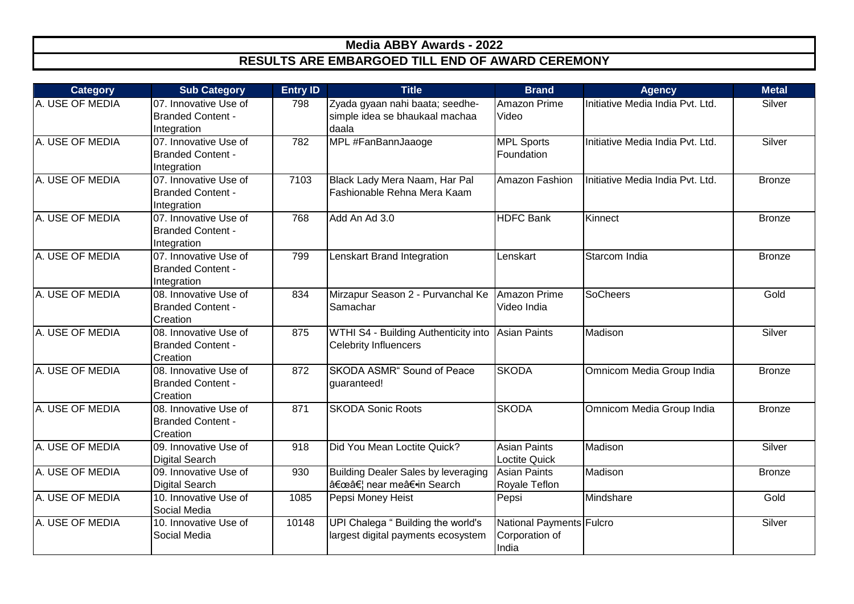| <b>Category</b> | <b>Sub Category</b>                                              | <b>Entry ID</b> | <b>Title</b>                                                               | <b>Brand</b>                                        | <b>Agency</b>                    | <b>Metal</b>  |
|-----------------|------------------------------------------------------------------|-----------------|----------------------------------------------------------------------------|-----------------------------------------------------|----------------------------------|---------------|
| A. USE OF MEDIA | 07. Innovative Use of<br><b>Branded Content -</b><br>Integration | 798             | Zyada gyaan nahi baata; seedhe-<br>simple idea se bhaukaal machaa<br>daala | Amazon Prime<br>Video                               | Initiative Media India Pvt. Ltd. | Silver        |
| A. USE OF MEDIA | 07. Innovative Use of<br><b>Branded Content -</b><br>Integration | 782             | MPL #FanBannJaaoge                                                         | <b>MPL Sports</b><br>Foundation                     | Initiative Media India Pvt. Ltd. | Silver        |
| A. USE OF MEDIA | 07. Innovative Use of<br><b>Branded Content -</b><br>Integration | 7103            | Black Lady Mera Naam, Har Pal<br>Fashionable Rehna Mera Kaam               | Amazon Fashion                                      | Initiative Media India Pvt. Ltd. | <b>Bronze</b> |
| A. USE OF MEDIA | 07. Innovative Use of<br><b>Branded Content -</b><br>Integration | 768             | Add An Ad 3.0                                                              | <b>HDFC Bank</b>                                    | Kinnect                          | <b>Bronze</b> |
| A. USE OF MEDIA | 07. Innovative Use of<br><b>Branded Content -</b><br>Integration | 799             | Lenskart Brand Integration                                                 | Lenskart                                            | Starcom India                    | <b>Bronze</b> |
| A. USE OF MEDIA | 08. Innovative Use of<br><b>Branded Content -</b><br>Creation    | 834             | Mirzapur Season 2 - Purvanchal Ke<br>Samachar                              | Amazon Prime<br>Video India                         | <b>SoCheers</b>                  | Gold          |
| A. USE OF MEDIA | 08. Innovative Use of<br><b>Branded Content -</b><br>Creation    | 875             | WTHI S4 - Building Authenticity into<br><b>Celebrity Influencers</b>       | <b>Asian Paints</b>                                 | Madison                          | Silver        |
| A. USE OF MEDIA | 08. Innovative Use of<br><b>Branded Content -</b><br>Creation    | 872             | <b>SKODA ASMR</b> " Sound of Peace<br>guaranteed!                          | <b>SKODA</b>                                        | Omnicom Media Group India        | <b>Bronze</b> |
| A. USE OF MEDIA | 08. Innovative Use of<br><b>Branded Content -</b><br>Creation    | 871             | <b>SKODA Sonic Roots</b>                                                   | <b>SKODA</b>                                        | Omnicom Media Group India        | <b>Bronze</b> |
| A. USE OF MEDIA | 09. Innovative Use of<br>Digital Search                          | 918             | Did You Mean Loctite Quick?                                                | <b>Asian Paints</b><br>Loctite Quick                | Madison                          | Silver        |
| A. USE OF MEDIA | 09. Innovative Use of<br>Digital Search                          | 930             | <b>Building Dealer Sales by leveraging</b><br>"… near me―in Search         | <b>Asian Paints</b><br>Royale Teflon                | Madison                          | <b>Bronze</b> |
| A. USE OF MEDIA | 10. Innovative Use of<br>Social Media                            | 1085            | Pepsi Money Heist                                                          | Pepsi                                               | Mindshare                        | Gold          |
| A. USE OF MEDIA | 10. Innovative Use of<br>Social Media                            | 10148           | UPI Chalega " Building the world's<br>largest digital payments ecosystem   | National Payments Fulcro<br>Corporation of<br>India |                                  | Silver        |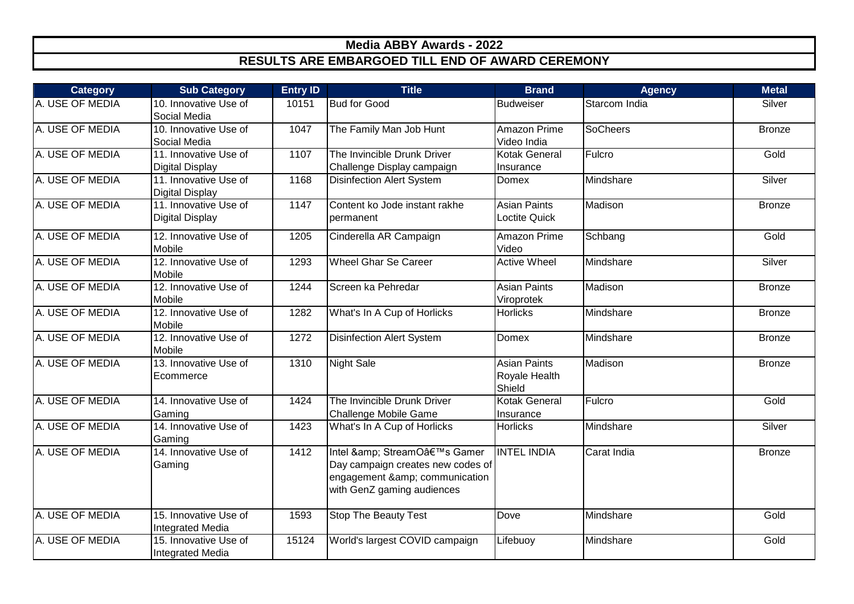| <b>Category</b> | <b>Sub Category</b>                              | <b>Entry ID</b> | <b>Title</b>                                                                                                             | <b>Brand</b>                                   | <b>Agency</b>   | <b>Metal</b>  |
|-----------------|--------------------------------------------------|-----------------|--------------------------------------------------------------------------------------------------------------------------|------------------------------------------------|-----------------|---------------|
| A. USE OF MEDIA | 10. Innovative Use of<br>Social Media            | 10151           | <b>Bud for Good</b>                                                                                                      | <b>Budweiser</b>                               | Starcom India   | Silver        |
| A. USE OF MEDIA | 10. Innovative Use of<br>Social Media            | 1047            | The Family Man Job Hunt                                                                                                  | Amazon Prime<br>Video India                    | <b>SoCheers</b> | <b>Bronze</b> |
| A. USE OF MEDIA | 11. Innovative Use of<br><b>Digital Display</b>  | 1107            | The Invincible Drunk Driver<br>Challenge Display campaign                                                                | Kotak General<br>Insurance                     | Fulcro          | Gold          |
| A. USE OF MEDIA | 11. Innovative Use of<br><b>Digital Display</b>  | 1168            | <b>Disinfection Alert System</b>                                                                                         | Domex                                          | Mindshare       | Silver        |
| A. USE OF MEDIA | 11. Innovative Use of<br><b>Digital Display</b>  | 1147            | Content ko Jode instant rakhe<br>permanent                                                                               | <b>Asian Paints</b><br>Loctite Quick           | Madison         | <b>Bronze</b> |
| A. USE OF MEDIA | 12. Innovative Use of<br>Mobile                  | 1205            | Cinderella AR Campaign                                                                                                   | Amazon Prime<br>Video                          | Schbang         | Gold          |
| A. USE OF MEDIA | 12. Innovative Use of<br>Mobile                  | 1293            | <b>Wheel Ghar Se Career</b>                                                                                              | <b>Active Wheel</b>                            | Mindshare       | Silver        |
| A. USE OF MEDIA | 12. Innovative Use of<br>Mobile                  | 1244            | Screen ka Pehredar                                                                                                       | <b>Asian Paints</b><br>Viroprotek              | Madison         | <b>Bronze</b> |
| A. USE OF MEDIA | 12. Innovative Use of<br>Mobile                  | 1282            | What's In A Cup of Horlicks                                                                                              | <b>Horlicks</b>                                | Mindshare       | <b>Bronze</b> |
| A. USE OF MEDIA | 12. Innovative Use of<br>Mobile                  | 1272            | <b>Disinfection Alert System</b>                                                                                         | Domex                                          | Mindshare       | <b>Bronze</b> |
| A. USE OF MEDIA | 13. Innovative Use of<br>Ecommerce               | 1310            | <b>Night Sale</b>                                                                                                        | <b>Asian Paints</b><br>Royale Health<br>Shield | Madison         | <b>Bronze</b> |
| A. USE OF MEDIA | 14. Innovative Use of<br>Gaming                  | 1424            | The Invincible Drunk Driver<br>Challenge Mobile Game                                                                     | <b>Kotak General</b><br>Insurance              | Fulcro          | Gold          |
| A. USE OF MEDIA | 14. Innovative Use of<br>Gaming                  | 1423            | What's In A Cup of Horlicks                                                                                              | <b>Horlicks</b>                                | Mindshare       | Silver        |
| A. USE OF MEDIA | 14. Innovative Use of<br>Gaming                  | 1412            | Intel & StreamO's Gamer<br>Day campaign creates new codes of<br>engagement & communication<br>with GenZ gaming audiences | <b>INTEL INDIA</b>                             | Carat India     | <b>Bronze</b> |
| A. USE OF MEDIA | 15. Innovative Use of<br><b>Integrated Media</b> | 1593            | <b>Stop The Beauty Test</b>                                                                                              | Dove                                           | Mindshare       | Gold          |
| A. USE OF MEDIA | 15. Innovative Use of<br><b>Integrated Media</b> | 15124           | World's largest COVID campaign                                                                                           | Lifebuoy                                       | Mindshare       | Gold          |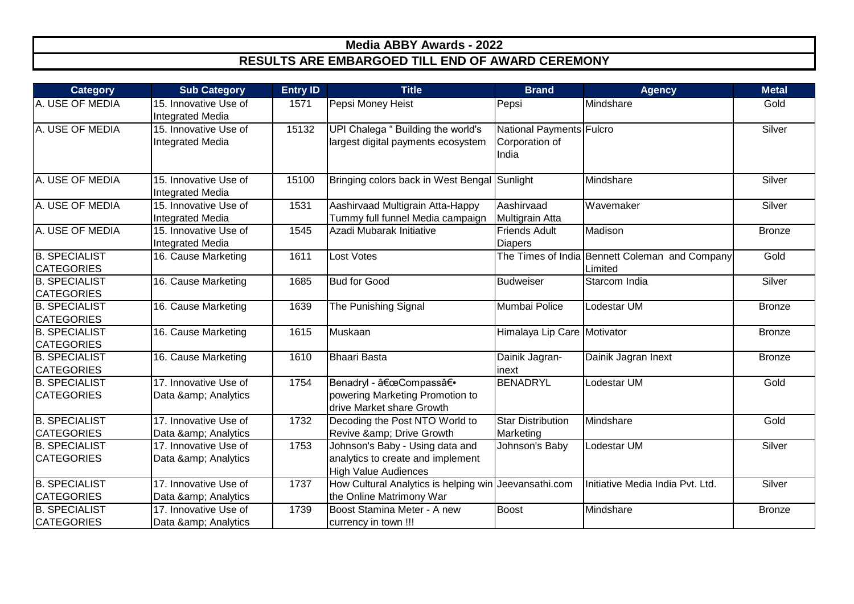| <b>Category</b>                           | <b>Sub Category</b>                              | <b>Entry ID</b> | <b>Title</b>                                                                                        | <b>Brand</b>                                        | <b>Agency</b>                                             | <b>Metal</b>  |
|-------------------------------------------|--------------------------------------------------|-----------------|-----------------------------------------------------------------------------------------------------|-----------------------------------------------------|-----------------------------------------------------------|---------------|
| A. USE OF MEDIA                           | 15. Innovative Use of<br><b>Integrated Media</b> | 1571            | Pepsi Money Heist                                                                                   | Pepsi                                               | Mindshare                                                 | Gold          |
| A. USE OF MEDIA                           | 15. Innovative Use of<br><b>Integrated Media</b> | 15132           | UPI Chalega " Building the world's<br>largest digital payments ecosystem                            | National Payments Fulcro<br>Corporation of<br>India |                                                           | Silver        |
| A. USE OF MEDIA                           | 15. Innovative Use of<br><b>Integrated Media</b> | 15100           | Bringing colors back in West Bengal Sunlight                                                        |                                                     | Mindshare                                                 | Silver        |
| A. USE OF MEDIA                           | 15. Innovative Use of<br><b>Integrated Media</b> | 1531            | Aashirvaad Multigrain Atta-Happy<br>Tummy full funnel Media campaign                                | Aashirvaad<br>Multigrain Atta                       | Wavemaker                                                 | Silver        |
| A. USE OF MEDIA                           | 15. Innovative Use of<br><b>Integrated Media</b> | 1545            | Azadi Mubarak Initiative                                                                            | <b>Friends Adult</b><br><b>Diapers</b>              | Madison                                                   | <b>Bronze</b> |
| <b>B. SPECIALIST</b><br><b>CATEGORIES</b> | 16. Cause Marketing                              | 1611            | Lost Votes                                                                                          |                                                     | The Times of India Bennett Coleman and Company<br>Limited | Gold          |
| <b>B. SPECIALIST</b><br><b>CATEGORIES</b> | 16. Cause Marketing                              | 1685            | <b>Bud for Good</b>                                                                                 | <b>Budweiser</b>                                    | Starcom India                                             | Silver        |
| <b>B. SPECIALIST</b><br><b>CATEGORIES</b> | 16. Cause Marketing                              | 1639            | The Punishing Signal                                                                                | Mumbai Police                                       | Lodestar UM                                               | <b>Bronze</b> |
| <b>B. SPECIALIST</b><br><b>CATEGORIES</b> | 16. Cause Marketing                              | 1615            | Muskaan                                                                                             | Himalaya Lip Care Motivator                         |                                                           | <b>Bronze</b> |
| <b>B. SPECIALIST</b><br><b>CATEGORIES</b> | 16. Cause Marketing                              | 1610            | <b>Bhaari Basta</b>                                                                                 | Dainik Jagran-<br>linext                            | Dainik Jagran Inext                                       | <b>Bronze</b> |
| <b>B. SPECIALIST</b><br><b>CATEGORIES</b> | 17. Innovative Use of<br>Data & Analytics        | 1754            | Benadryl - "Compassâ€.<br>powering Marketing Promotion to<br>drive Market share Growth              | <b>BENADRYL</b>                                     | Lodestar UM                                               | Gold          |
| <b>B. SPECIALIST</b><br><b>CATEGORIES</b> | 17. Innovative Use of<br>Data & Analytics        | 1732            | Decoding the Post NTO World to<br>Revive & Drive Growth                                             | <b>Star Distribution</b><br>Marketing               | Mindshare                                                 | Gold          |
| <b>B. SPECIALIST</b><br><b>CATEGORIES</b> | 17. Innovative Use of<br>Data & Analytics        | 1753            | Johnson's Baby - Using data and<br>analytics to create and implement<br><b>High Value Audiences</b> | Johnson's Baby                                      | Lodestar UM                                               | Silver        |
| <b>B. SPECIALIST</b><br><b>CATEGORIES</b> | 17. Innovative Use of<br>Data & Analytics        | 1737            | How Cultural Analytics is helping win Jeevansathi.com<br>the Online Matrimony War                   |                                                     | Initiative Media India Pvt. Ltd.                          | Silver        |
| <b>B. SPECIALIST</b><br><b>CATEGORIES</b> | 17. Innovative Use of<br>Data & Analytics        | 1739            | Boost Stamina Meter - A new<br>currency in town !!!                                                 | <b>Boost</b>                                        | Mindshare                                                 | <b>Bronze</b> |